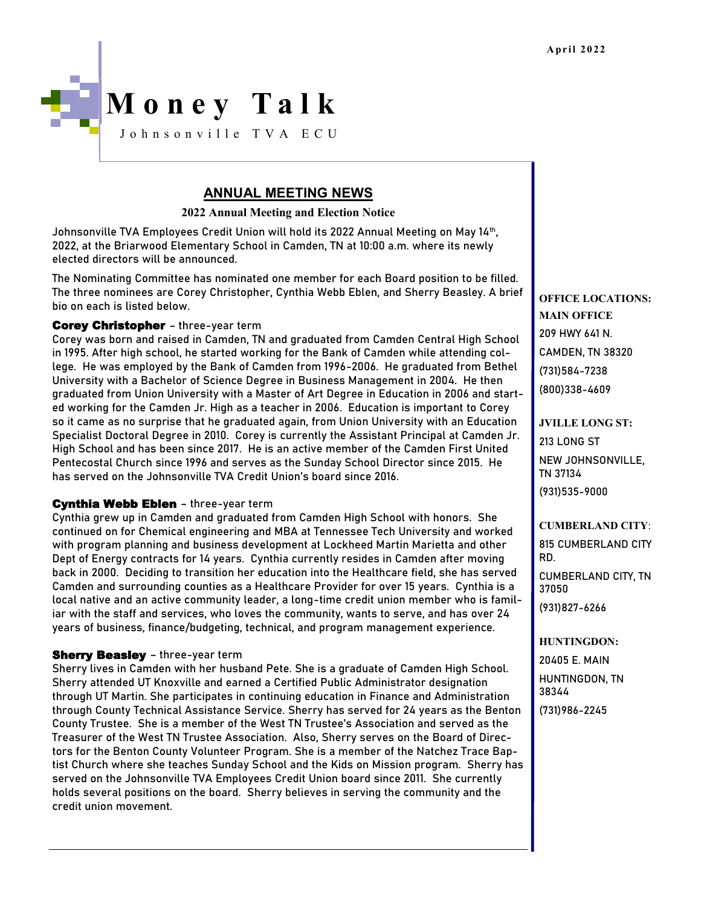

# **ANNUAL MEETING NEWS**

**2022 Annual Meeting and Election Notice**

Johnsonville TVA Employees Credit Union will hold its 2022 Annual Meeting on May 14th , 2022, at the Briarwood Elementary School in Camden, TN at 10:00 a.m. where its newly elected directors will be announced.

The Nominating Committee has nominated one member for each Board position to be filled. The three nominees are Corey Christopher, Cynthia Webb Eblen, and Sherry Beasley. A brief bio on each is listed below.

## **Corey Christopher** - three-year term

Corey was born and raised in Camden, TN and graduated from Camden Central High School in 1995. After high school, he started working for the Bank of Camden while attending college. He was employed by the Bank of Camden from 1996-2006. He graduated from Bethel University with a Bachelor of Science Degree in Business Management in 2004. He then graduated from Union University with a Master of Art Degree in Education in 2006 and started working for the Camden Jr. High as a teacher in 2006. Education is important to Corey so it came as no surprise that he graduated again, from Union University with an Education Specialist Doctoral Degree in 2010. Corey is currently the Assistant Principal at Camden Jr. High School and has been since 2017. He is an active member of the Camden First United Pentecostal Church since 1996 and serves as the Sunday School Director since 2015. He has served on the Johnsonville TVA Credit Union's board since 2016.

## Cynthia Webb Eblen - three-year term

Cynthia grew up in Camden and graduated from Camden High School with honors. She continued on for Chemical engineering and MBA at Tennessee Tech University and worked with program planning and business development at Lockheed Martin Marietta and other Dept of Energy contracts for 14 years. Cynthia currently resides in Camden after moving back in 2000. Deciding to transition her education into the Healthcare field, she has served Camden and surrounding counties as a Healthcare Provider for over 15 years. Cynthia is a local native and an active community leader, a long-time credit union member who is familiar with the staff and services, who loves the community, wants to serve, and has over 24 years of business, finance/budgeting, technical, and program management experience.

## **Sherry Beasley** - three-year term

Sherry lives in Camden with her husband Pete. She is a graduate of Camden High School. Sherry attended UT Knoxville and earned a Certified Public Administrator designation through UT Martin. She participates in continuing education in Finance and Administration through County Technical Assistance Service. Sherry has served for 24 years as the Benton County Trustee. She is a member of the West TN Trustee's Association and served as the Treasurer of the West TN Trustee Association. Also, Sherry serves on the Board of Directors for the Benton County Volunteer Program. She is a member of the Natchez Trace Baptist Church where she teaches Sunday School and the Kids on Mission program. Sherry has served on the Johnsonville TVA Employees Credit Union board since 2011. She currently holds several positions on the board. Sherry believes in serving the community and the credit union movement.

**OFFICE LOCATIONS: MAIN OFFICE** 209 HWY 641 N. CAMDEN, TN 38320 (731)584-7238 (800)338-4609

**JVILLE LONG ST:** 213 LONG ST NEW JOHNSONVILLE, TN 37134 (931)535-9000

**CUMBERLAND CITY**: 815 CUMBERLAND CITY RD. CUMBERLAND CITY, TN 37050

(931)827-6266

**HUNTINGDON:** 20405 E. MAIN HUNTINGDON, TN 38344 (731)986-2245